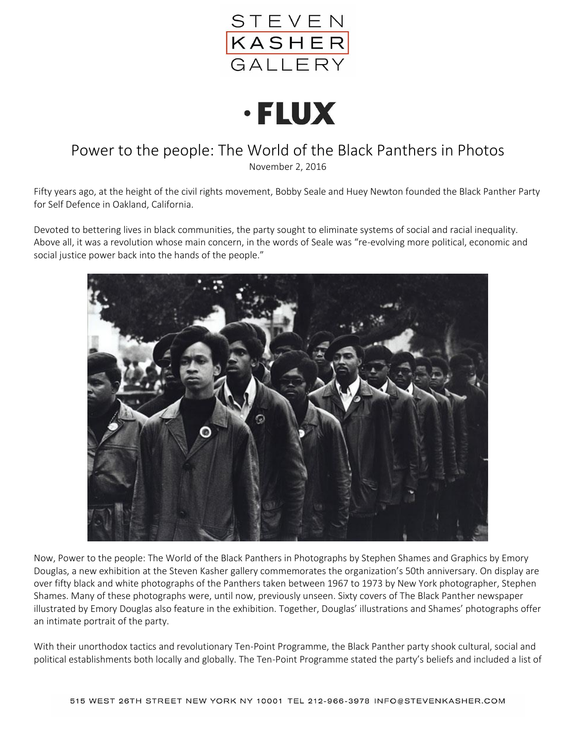



## Power to the people: The World of the Black Panthers in Photos

November 2, 2016

Fifty years ago, at the height of the civil rights movement, Bobby Seale and Huey Newton founded the Black Panther Party for Self Defence in Oakland, California.

Devoted to bettering lives in black communities, the party sought to eliminate systems of social and racial inequality. Above all, it was a revolution whose main concern, in the words of Seale was "re-evolving more political, economic and social justice power back into the hands of the people."



Now, Power to the people: The World of the Black Panthers in Photographs by Stephen Shames and Graphics by Emory Douglas, a new exhibition at the Steven Kasher gallery commemorates the organization's 50th anniversary. On display are over fifty black and white photographs of the Panthers taken between 1967 to 1973 by New York photographer, Stephen Shames. Many of these photographs were, until now, previously unseen. Sixty covers of The Black Panther newspaper illustrated by Emory Douglas also feature in the exhibition. Together, Douglas' illustrations and Shames' photographs offer an intimate portrait of the party.

With their unorthodox tactics and revolutionary Ten-Point Programme, the Black Panther party shook cultural, social and political establishments both locally and globally. The Ten-Point Programme stated the party's beliefs and included a list of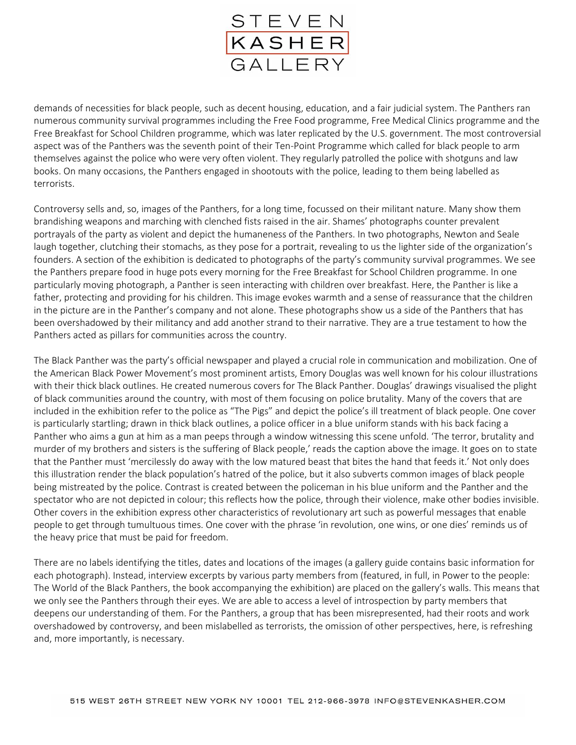

demands of necessities for black people, such as decent housing, education, and a fair judicial system. The Panthers ran numerous community survival programmes including the Free Food programme, Free Medical Clinics programme and the Free Breakfast for School Children programme, which was later replicated by the U.S. government. The most controversial aspect was of the Panthers was the seventh point of their Ten-Point Programme which called for black people to arm themselves against the police who were very often violent. They regularly patrolled the police with shotguns and law books. On many occasions, the Panthers engaged in shootouts with the police, leading to them being labelled as terrorists.

Controversy sells and, so, images of the Panthers, for a long time, focussed on their militant nature. Many show them brandishing weapons and marching with clenched fists raised in the air. Shames' photographs counter prevalent portrayals of the party as violent and depict the humaneness of the Panthers. In two photographs, Newton and Seale laugh together, clutching their stomachs, as they pose for a portrait, revealing to us the lighter side of the organization's founders. A section of the exhibition is dedicated to photographs of the party's community survival programmes. We see the Panthers prepare food in huge pots every morning for the Free Breakfast for School Children programme. In one particularly moving photograph, a Panther is seen interacting with children over breakfast. Here, the Panther is like a father, protecting and providing for his children. This image evokes warmth and a sense of reassurance that the children in the picture are in the Panther's company and not alone. These photographs show us a side of the Panthers that has been overshadowed by their militancy and add another strand to their narrative. They are a true testament to how the Panthers acted as pillars for communities across the country.

The Black Panther was the party's official newspaper and played a crucial role in communication and mobilization. One of the American Black Power Movement's most prominent artists, Emory Douglas was well known for his colour illustrations with their thick black outlines. He created numerous covers for The Black Panther. Douglas' drawings visualised the plight of black communities around the country, with most of them focusing on police brutality. Many of the covers that are included in the exhibition refer to the police as "The Pigs" and depict the police's ill treatment of black people. One cover is particularly startling; drawn in thick black outlines, a police officer in a blue uniform stands with his back facing a Panther who aims a gun at him as a man peeps through a window witnessing this scene unfold. 'The terror, brutality and murder of my brothers and sisters is the suffering of Black people,' reads the caption above the image. It goes on to state that the Panther must 'mercilessly do away with the low matured beast that bites the hand that feeds it.' Not only does this illustration render the black population's hatred of the police, but it also subverts common images of black people being mistreated by the police. Contrast is created between the policeman in his blue uniform and the Panther and the spectator who are not depicted in colour; this reflects how the police, through their violence, make other bodies invisible. Other covers in the exhibition express other characteristics of revolutionary art such as powerful messages that enable people to get through tumultuous times. One cover with the phrase 'in revolution, one wins, or one dies' reminds us of the heavy price that must be paid for freedom.

There are no labels identifying the titles, dates and locations of the images (a gallery guide contains basic information for each photograph). Instead, interview excerpts by various party members from (featured, in full, in Power to the people: The World of the Black Panthers, the book accompanying the exhibition) are placed on the gallery's walls. This means that we only see the Panthers through their eyes. We are able to access a level of introspection by party members that deepens our understanding of them. For the Panthers, a group that has been misrepresented, had their roots and work overshadowed by controversy, and been mislabelled as terrorists, the omission of other perspectives, here, is refreshing and, more importantly, is necessary.